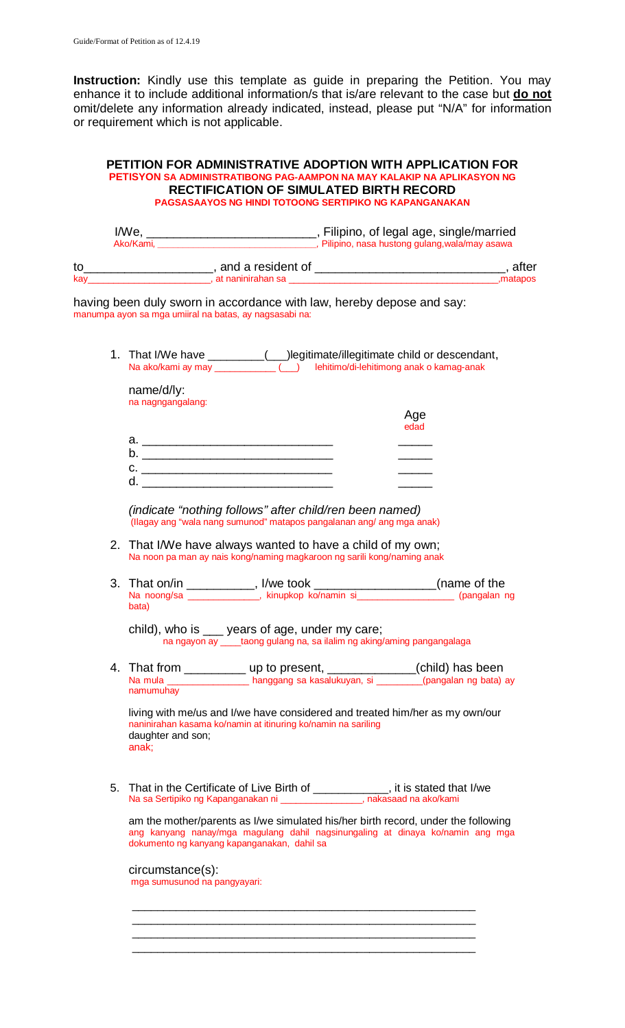**Instruction:** Kindly use this template as guide in preparing the Petition. You may enhance it to include additional information/s that is/are relevant to the case but **do not** omit/delete any information already indicated, instead, please put "N/A" for information or requirement which is not applicable.

## **PETITION FOR ADMINISTRATIVE ADOPTION WITH APPLICATION FOR PETISYON SA ADMINISTRATIBONG PAG-AAMPON NA MAY KALAKIP NA APLIKASYON NG RECTIFICATION OF SIMULATED BIRTH RECORD PAGSASAAYOS NG HINDI TOTOONG SERTIPIKO NG KAPANGANAKAN**

|     | I/We<br>Ako/Kami. | , Filipino, of legal age, single/married |                                                 |
|-----|-------------------|------------------------------------------|-------------------------------------------------|
|     |                   |                                          | , Pilipino, nasa hustong gulang, wala/may asawa |
| to  |                   | and a resident of                        | after                                           |
| kav |                   | at naninirahan sa                        | matapos,                                        |

having been duly sworn in accordance with law, hereby depose and say: manumpa ayon sa mga umiiral na batas, ay nagsasabi na:

1. That I/We have \_\_\_\_\_\_\_\_\_(\_\_\_)legitimate/illegitimate child or descendant, Na ako/kami ay may \_\_\_\_\_\_\_\_\_\_\_\_ (\_\_\_) lehitimo/di-lehitimong anak o kamag-anak

| name/d/ly:<br>na nagngangalang: |             |
|---------------------------------|-------------|
|                                 | Age<br>edad |
| а.                              |             |
| $\mathsf b$                     |             |
| c.                              |             |
| d                               |             |

*(indicate "nothing follows" after child/ren been named)* (Ilagay ang "wala nang sumunod" matapos pangalanan ang/ ang mga anak)

- 2. That I/We have always wanted to have a child of my own; Na noon pa man ay nais kong/naming magkaroon ng sarili kong/naming anak
- 3. That on/in \_\_\_\_\_\_\_\_\_\_, I/we took \_\_\_\_\_\_\_\_\_\_\_\_\_\_\_\_\_\_\_\_(name of the Na noong/sa \_\_\_\_\_\_\_\_\_\_\_\_\_\_, kinupkop ko/namin si\_\_\_\_\_\_\_\_\_\_\_\_\_\_\_\_\_\_\_ (pangalan ng bata)

| child), who is | ___ years of age, under my care;                                         |
|----------------|--------------------------------------------------------------------------|
|                | na ngayon ay _____taong gulang na, sa ilalim ng aking/aming pangangalaga |

4. That from  $\frac{1}{\text{Area}}$  up to present,  $\frac{1}{\text{Area}}$  (child) has been (child) has been Na mula \_\_\_\_\_\_\_\_\_\_\_\_\_\_\_\_ hanggang sa kasalukuyan, si \_\_\_\_\_\_\_\_\_(pangalan ng bata) ay namumuhay

living with me/us and I/we have considered and treated him/her as my own/our naninirahan kasama ko/namin at itinuring ko/namin na sariling daughter and son; anak;

5. That in the Certificate of Live Birth of \_\_\_\_\_\_\_\_\_\_\_\_, it is stated that I/we Na sa Sertipiko ng Kapanganakan ni \_\_\_\_\_\_\_\_\_\_\_\_\_\_\_\_, nakasaad na ako/kami

 $\overline{\phantom{a}}$  , and the contract of the contract of the contract of the contract of the contract of the contract of the contract of the contract of the contract of the contract of the contract of the contract of the contrac \_\_\_\_\_\_\_\_\_\_\_\_\_\_\_\_\_\_\_\_\_\_\_\_\_\_\_\_\_\_\_\_\_\_\_\_\_\_\_\_\_\_\_\_\_\_\_\_\_\_\_\_\_\_\_  $\overline{\phantom{a}}$  , and the contract of the contract of the contract of the contract of the contract of the contract of the contract of the contract of the contract of the contract of the contract of the contract of the contrac \_\_\_\_\_\_\_\_\_\_\_\_\_\_\_\_\_\_\_\_\_\_\_\_\_\_\_\_\_\_\_\_\_\_\_\_\_\_\_\_\_\_\_\_\_\_\_\_\_\_\_\_\_\_\_

am the mother/parents as I/we simulated his/her birth record, under the following ang kanyang nanay/mga magulang dahil nagsinungaling at dinaya ko/namin ang mga dokumento ng kanyang kapanganakan, dahil sa

circumstance(s): mga sumusunod na pangyayari: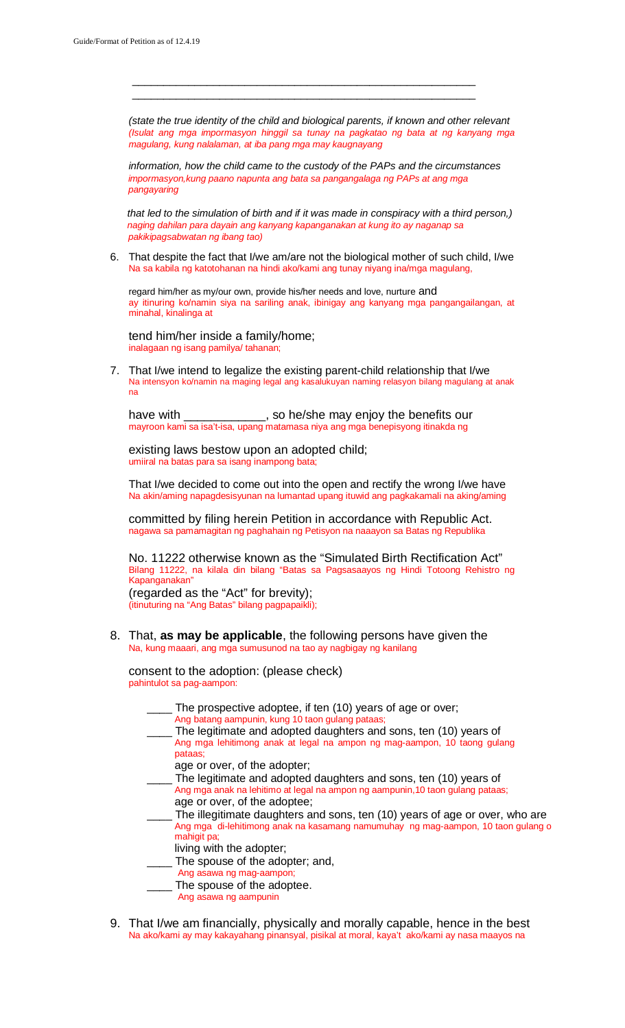*(state the true identity of the child and biological parents, if known and other relevant (Isulat ang mga impormasyon hinggil sa tunay na pagkatao ng bata at ng kanyang mga magulang, kung nalalaman, at iba pang mga may kaugnayang* 

 \_\_\_\_\_\_\_\_\_\_\_\_\_\_\_\_\_\_\_\_\_\_\_\_\_\_\_\_\_\_\_\_\_\_\_\_\_\_\_\_\_\_\_\_\_\_\_\_\_\_\_\_\_\_\_  $\overline{\phantom{a}}$  , and the contract of the contract of the contract of the contract of the contract of the contract of the contract of the contract of the contract of the contract of the contract of the contract of the contrac

*information, how the child came to the custody of the PAPs and the circumstances impormasyon,kung paano napunta ang bata sa pangangalaga ng PAPs at ang mga pangayaring*

 *that led to the simulation of birth and if it was made in conspiracy with a third person,) naging dahilan para dayain ang kanyang kapanganakan at kung ito ay naganap sa pakikipagsabwatan ng ibang tao)*

6. That despite the fact that I/we am/are not the biological mother of such child, I/we Na sa kabila ng katotohanan na hindi ako/kami ang tunay niyang ina/mga magulang,

regard him/her as my/our own, provide his/her needs and love, nurture and ay itinuring ko/namin siya na sariling anak, ibinigay ang kanyang mga pangangailangan, at minahal, kinalinga at

tend him/her inside a family/home; inalagaan ng isang pamilya/ tahanan;

7. That I/we intend to legalize the existing parent-child relationship that I/we Na intensyon ko/namin na maging legal ang kasalukuyan naming relasyon bilang magulang at anak na

have with \_\_\_\_\_\_\_\_\_\_\_\_\_, so he/she may enjoy the benefits our mayroon kami sa isa't-isa, upang matamasa niya ang mga benepisyong itinakda ng

existing laws bestow upon an adopted child; umiiral na batas para sa isang inampong bata;

That I/we decided to come out into the open and rectify the wrong I/we have Na akin/aming napagdesisyunan na lumantad upang ituwid ang pagkakamali na aking/aming

committed by filing herein Petition in accordance with Republic Act. nagawa sa pamamagitan ng paghahain ng Petisyon na naaayon sa Batas ng Republika

No. 11222 otherwise known as the "Simulated Birth Rectification Act" Bilang 11222, na kilala din bilang "Batas sa Pagsasaayos ng Hindi Totoong Rehistro ng Kapanganakan"

(regarded as the "Act" for brevity); (itinuturing na "Ang Batas" bilang pagpapaikli);

8. That, **as may be applicable**, the following persons have given the Na, kung maaari, ang mga sumusunod na tao ay nagbigay ng kanilang

consent to the adoption: (please check) pahintulot sa pag-aampon:

- The prospective adoptee, if ten (10) years of age or over;
- Ang batang aampunin, kung 10 taon gulang pataas;
- The legitimate and adopted daughters and sons, ten (10) years of Ang mga lehitimong anak at legal na ampon ng mag-aampon, 10 taong gulang pataas;
	- age or over, of the adopter;
- \_\_\_\_ The legitimate and adopted daughters and sons, ten (10) years of Ang mga anak na lehitimo at legal na ampon ng aampunin,10 taon gulang pataas; age or over, of the adoptee;
- The illegitimate daughters and sons, ten (10) years of age or over, who are Ang mga di-lehitimong anak na kasamang namumuhay ng mag-aampon, 10 taon gulang o mahigit pa;
	- living with the adopter;
- \_\_\_\_ The spouse of the adopter; and,
- Ang asawa ng mag-aampon;
- \_\_\_\_ The spouse of the adoptee.
	- Ang asawa ng aampunin
- 9. That I/we am financially, physically and morally capable, hence in the best Na ako/kami ay may kakayahang pinansyal, pisikal at moral, kaya't ako/kami ay nasa maayos na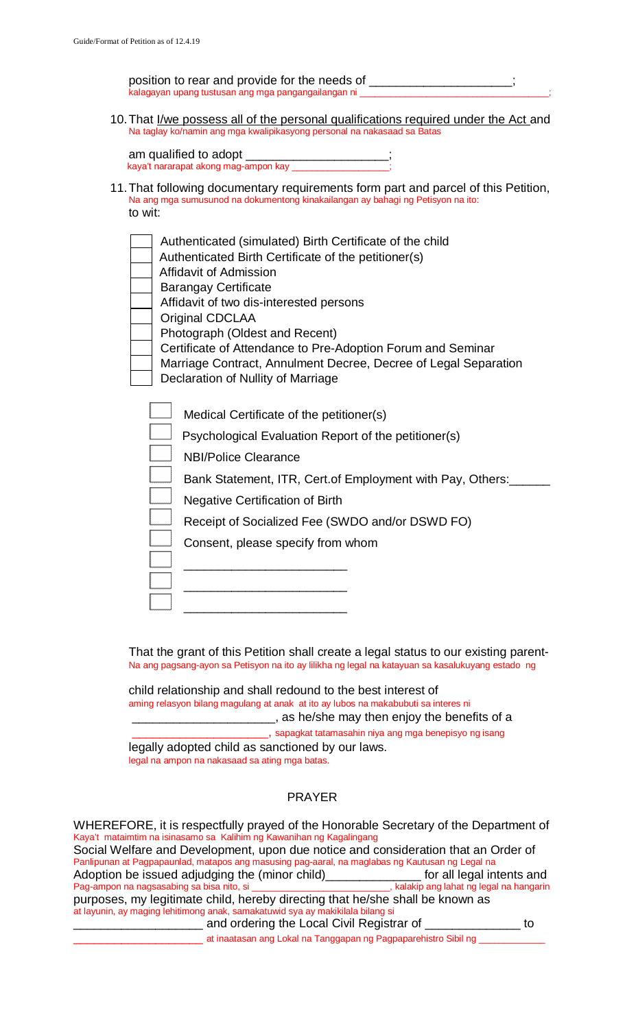position to rear and provide for the needs of \_\_\_\_\_\_\_\_\_\_\_\_\_\_\_\_\_\_\_\_\_\_\_\_\_\_\_\_\_\_\_\_\_\_ kalagayan upang tustusan ang mga pangangailangan ni

10.That I/we possess all of the personal qualifications required under the Act and Na taglay ko/namin ang mga kwalipikasyong personal na nakasaad sa Batas

| am qualified to adopt                |  |
|--------------------------------------|--|
| kaya't nararapat akong mag-ampon kay |  |

- 11.That following documentary requirements form part and parcel of this Petition, Na ang mga sumusunod na dokumentong kinakailangan ay bahagi ng Petisyon na ito: to wit:
	- Authenticated (simulated) Birth Certificate of the child
	- Authenticated Birth Certificate of the petitioner(s)
	- Affidavit of Admission
	- Barangay Certificate
	- Affidavit of two dis-interested persons
	- Original CDCLAA
	- Photograph (Oldest and Recent)
	- Certificate of Attendance to Pre-Adoption Forum and Seminar
	- Marriage Contract, Annulment Decree, Decree of Legal Separation Declaration of Nullity of Marriage

|  | Medical Certificate of the petitioner(s) |
|--|------------------------------------------|
|--|------------------------------------------|

Psychological Evaluation Report of the petitioner(s)

NBI/Police Clearance

\_\_\_\_\_\_\_\_\_\_\_\_\_\_\_\_\_\_\_\_\_\_\_\_

\_\_\_\_\_\_\_\_\_\_\_\_\_\_\_\_\_\_\_\_\_\_\_\_

\_\_\_\_\_\_\_\_\_\_\_\_\_\_\_\_\_\_\_\_\_\_\_\_

Bank Statement, ITR, Cert.of Employment with Pay, Others:\_\_\_\_\_\_

Negative Certification of Birth

Receipt of Socialized Fee (SWDO and/or DSWD FO)

Consent, please specify from whom

That the grant of this Petition shall create a legal status to our existing parent-Na ang pagsang-ayon sa Petisyon na ito ay lilikha ng legal na katayuan sa kasalukuyang estado ng

child relationship and shall redound to the best interest of aming relasyon bilang magulang at anak at ito ay lubos na makabubuti sa interes ni **where may then enjoy the benefits of a** \_\_\_\_\_\_\_\_\_\_\_\_\_\_\_\_\_\_\_\_, sapagkat tatamasahin niya ang mga benepisyo ng isang

legally adopted child as sanctioned by our laws.

legal na ampon na nakasaad sa ating mga batas.

## PRAYER

WHEREFORE, it is respectfully prayed of the Honorable Secretary of the Department of Kaya't mataimtim na isinasamo sa Kalihim ng Kawanihan ng Kagalingang Social Welfare and Development, upon due notice and consideration that an Order of Panlipunan at Pagpapaunlad, matapos ang masusing pag-aaral, na maglabas ng Kautusan ng Legal na Adoption be issued adjudging the (minor child)<br>Pag-ampon na nagsasabing sa bisa nito, si \_\_\_\_\_\_\_\_\_\_\_\_\_\_\_\_\_\_\_\_\_\_\_\_\_\_\_, kalakip ang lahat ng legal na hangarin Pag-ampon na nagsasabing sa bisa nito, si purposes, my legitimate child, hereby directing that he/she shall be known as at layunin, ay maging lehitimong anak, samakatuwid sya ay makikilala bilang si \_\_\_\_\_\_\_\_\_\_\_\_\_\_\_\_\_\_\_ and ordering the Local Civil Registrar of \_\_\_\_\_\_\_\_\_\_\_\_\_\_ to

 $\pm$  at inaatasan ang Lokal na Tanggapan ng Pagpaparehistro Sibil ng  $\pm$